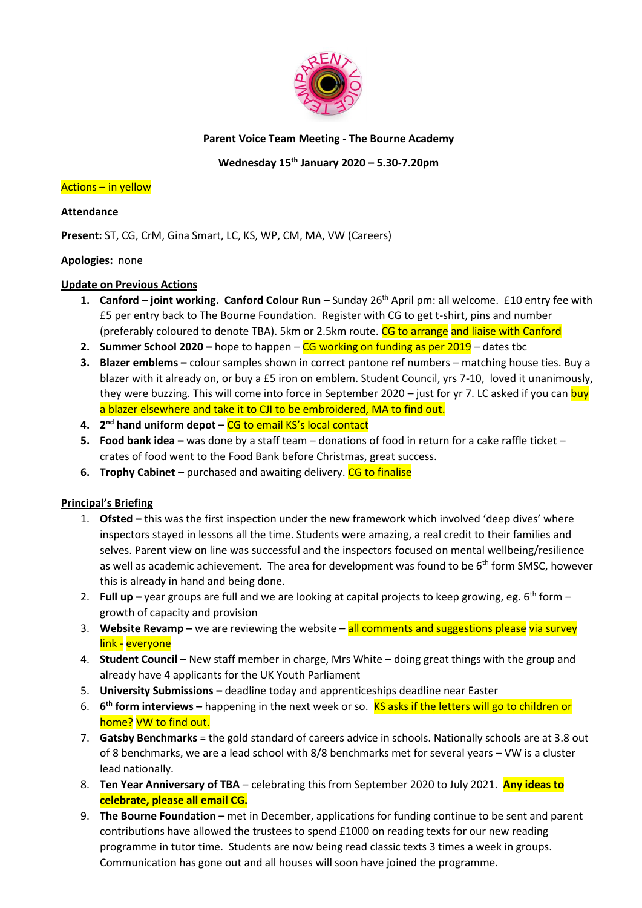

## **Parent Voice Team Meeting - The Bourne Academy**

# **Wednesday 15th January 2020 – 5.30-7.20pm**

### Actions – in yellow

## **Attendance**

**Present:** ST, CG, CrM, Gina Smart, LC, KS, WP, CM, MA, VW (Careers)

## **Apologies:** none

### **Update on Previous Actions**

- **1. Canford joint working. Canford Colour Run –** Sunday 26<sup>th</sup> April pm: all welcome. £10 entry fee with £5 per entry back to The Bourne Foundation. Register with CG to get t-shirt, pins and number (preferably coloured to denote TBA). 5km or 2.5km route. CG to arrange and liaise with Canford
- **2. Summer School 2020** hope to happen CG working on funding as per 2019 dates tbc
- **3. Blazer emblems –** colour samples shown in correct pantone ref numbers matching house ties. Buy a blazer with it already on, or buy a £5 iron on emblem. Student Council, yrs 7-10, loved it unanimously, they were buzzing. This will come into force in September 2020 – just for yr 7. LC asked if you can buy a blazer elsewhere and take it to CJI to be embroidered, MA to find out.
- **4. 2 nd hand uniform depot –** CG to email KS's local contact
- **5. Food bank idea –** was done by a staff team donations of food in return for a cake raffle ticket crates of food went to the Food Bank before Christmas, great success.
- **6. Trophy Cabinet** purchased and awaiting delivery. CG to finalise

## **Principal's Briefing**

- 1. **Ofsted –** this was the first inspection under the new framework which involved 'deep dives' where inspectors stayed in lessons all the time. Students were amazing, a real credit to their families and selves. Parent view on line was successful and the inspectors focused on mental wellbeing/resilience as well as academic achievement. The area for development was found to be  $6<sup>th</sup>$  form SMSC, however this is already in hand and being done.
- 2. **Full up** year groups are full and we are looking at capital projects to keep growing, eg. 6<sup>th</sup> form growth of capacity and provision
- 3. **Website Revamp –** we are reviewing the website all comments and suggestions please via survey link - everyone
- 4. **Student Council –** New staff member in charge, Mrs White doing great things with the group and already have 4 applicants for the UK Youth Parliament
- 5. **University Submissions –** deadline today and apprenticeships deadline near Easter
- 6. **6 th form interviews –** happening in the next week or so. KS asks if the letters will go to children or home? VW to find out.
- 7. **Gatsby Benchmarks** = the gold standard of careers advice in schools. Nationally schools are at 3.8 out of 8 benchmarks, we are a lead school with 8/8 benchmarks met for several years – VW is a cluster lead nationally.
- 8. **Ten Year Anniversary of TBA**  celebrating this from September 2020 to July 2021. **Any ideas to celebrate, please all email CG.**
- 9. **The Bourne Foundation –** met in December, applications for funding continue to be sent and parent contributions have allowed the trustees to spend £1000 on reading texts for our new reading programme in tutor time. Students are now being read classic texts 3 times a week in groups. Communication has gone out and all houses will soon have joined the programme.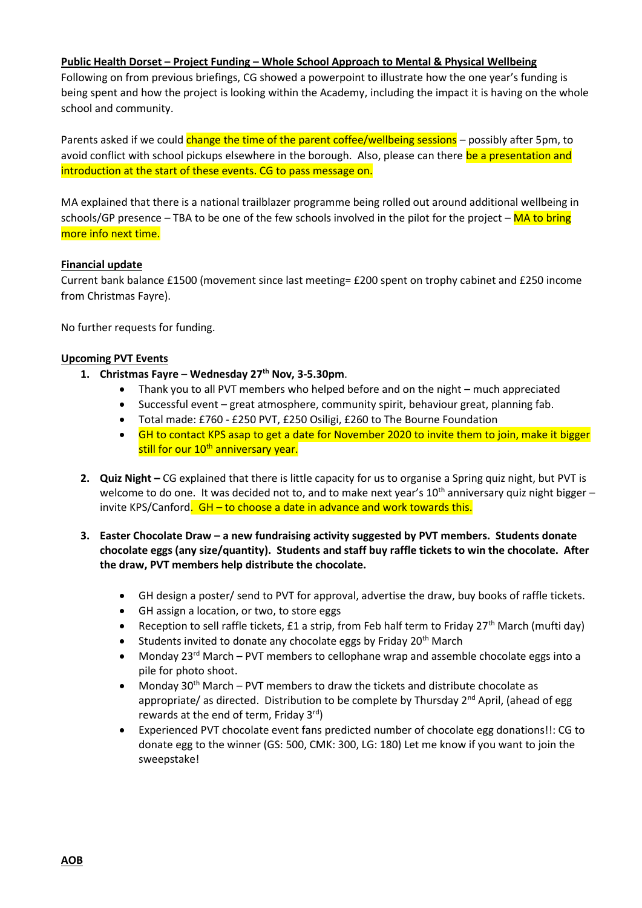#### **Public Health Dorset – Project Funding – Whole School Approach to Mental & Physical Wellbeing**

Following on from previous briefings, CG showed a powerpoint to illustrate how the one year's funding is being spent and how the project is looking within the Academy, including the impact it is having on the whole school and community.

Parents asked if we could change the time of the parent coffee/wellbeing sessions – possibly after 5pm, to avoid conflict with school pickups elsewhere in the borough. Also, please can there be a presentation and introduction at the start of these events. CG to pass message on.

MA explained that there is a national trailblazer programme being rolled out around additional wellbeing in schools/GP presence – TBA to be one of the few schools involved in the pilot for the project –  $\overline{MA}$  to bring more info next time.

#### **Financial update**

Current bank balance £1500 (movement since last meeting= £200 spent on trophy cabinet and £250 income from Christmas Fayre).

No further requests for funding.

#### **Upcoming PVT Events**

- **1. Christmas Fayre Wednesday 27th Nov, 3-5.30pm**.
	- Thank you to all PVT members who helped before and on the night much appreciated
	- Successful event great atmosphere, community spirit, behaviour great, planning fab.
	- Total made: £760 £250 PVT, £250 Osiligi, £260 to The Bourne Foundation
	- GH to contact KPS asap to get a date for November 2020 to invite them to join, make it bigger still for our 10<sup>th</sup> anniversary year.
- **2. Quiz Night –** CG explained that there is little capacity for us to organise a Spring quiz night, but PVT is welcome to do one. It was decided not to, and to make next year's  $10^{th}$  anniversary quiz night bigger – invite KPS/Canford.  $GH - to choose a date in advance and work towards this.$
- **3. Easter Chocolate Draw – a new fundraising activity suggested by PVT members. Students donate chocolate eggs (any size/quantity). Students and staff buy raffle tickets to win the chocolate. After the draw, PVT members help distribute the chocolate.**
	- GH design a poster/ send to PVT for approval, advertise the draw, buy books of raffle tickets.
	- GH assign a location, or two, to store eggs
	- Reception to sell raffle tickets, £1 a strip, from Feb half term to Friday  $27<sup>th</sup>$  March (mufti day)
	- Students invited to donate any chocolate eggs by Friday 20<sup>th</sup> March
	- Monday 23rd March PVT members to cellophane wrap and assemble chocolate eggs into a pile for photo shoot.
	- Monday 30<sup>th</sup> March PVT members to draw the tickets and distribute chocolate as appropriate/ as directed. Distribution to be complete by Thursday  $2^{nd}$  April, (ahead of egg rewards at the end of term, Friday  $3^{rd}$ )
	- Experienced PVT chocolate event fans predicted number of chocolate egg donations!!: CG to donate egg to the winner (GS: 500, CMK: 300, LG: 180) Let me know if you want to join the sweepstake!